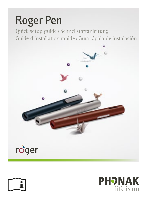



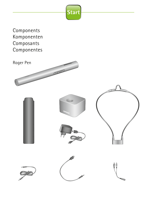

Components Komponenten Composants Componentes

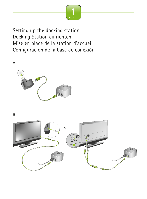

Setting up the docking station Docking Station einrichten Mise en place de la station d'accueil Configuración de la base de conexión



B

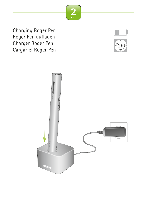

Charging Roger Pen Roger Pen aufladen Charger Roger Pen Cargar el Roger Pen





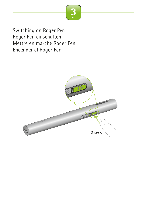

Switching on Roger Pen Roger Pen einschalten Mettre en marche Roger Pen Encender el Roger Pen

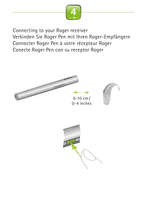

Connecting to your Roger receiver Verbinden Sie Roger Pen mit Ihren Roger-Empfängern Connecter Roger Pen à votre récepteur Roger Conecte Roger Pen con su receptor Roger





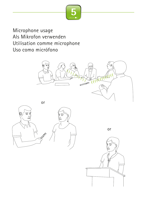

Microphone usage Als Mikrofon verwenden Utilisation comme microphone Uso como micrófono







or

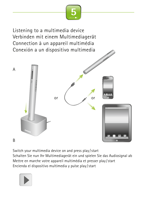

Listening to a multimedia device Verbinden mit einem Multimediagerät Connection à un appareil multimédia Conexión a un dispositivo multimedia A B or or

Switch your multimedia device on and press play/start

Schalten Sie nun Ihr Multimediagerät ein und spielen Sie das Audiosignal ab Mettre en marche votre appareil multimédia et presser play /start Encienda el dispositivo multimedia y pulse play/start

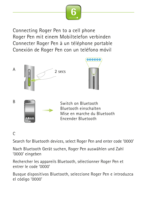

Connecting Roger Pen to a cell phone Roger Pen mit einem Mobiltelefon verbinden Connecter Roger Pen à un téléphone portable Conexión de Roger Pen con un teléfono móvil









## $\Gamma$

Search for Bluetooth devices, select Roger Pen and enter code '0000'

Nach Bluetooth Gerät suchen, Roger Pen auswählen und Zahl '0000' eingeben

Rechercher les appareils Bluetooth, sélectionner Roger Pen et entrer le code '0000'

Busque dispositivos Bluetooth, seleccione Roger Pen e introduzca el código '0000'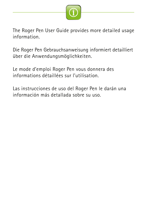

The Roger Pen User Guide provides more detailed usage information.

Die Roger Pen Gebrauchsanweisung informiert detailliert über die Anwendungsmöglichkeiten.

Le mode d'emploi Roger Pen vous donnera des informations détaillées sur l'utilisation.

Las instrucciones de uso del Roger Pen le darán una información más detallada sobre su uso.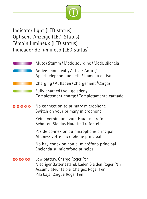

Indicator light (LED status) Optische Anzeige (LED-Status) Témoin lumineux (LED status) Indicador de luminoso (LED status)

|     | Mute / Stumm / Mode sourdine / Mode silencia                                                                                                               |
|-----|------------------------------------------------------------------------------------------------------------------------------------------------------------|
|     | Active phone call/Aktiver Anruf/<br>Appel téléphonique actif/Llamada activa                                                                                |
|     | Charging / Aufladen / Chargement / Cargar                                                                                                                  |
|     | Fully charged / Voll geladen /<br>Complètement chargé/Completamente cargado                                                                                |
|     | No connection to primary microphone<br>Switch on your primary microphone                                                                                   |
|     | Keine Verbindung zum Hauptmikrofon<br>Schalten Sie das Hauptmikrofon ein                                                                                   |
|     | Pas de connexion au microphone principal<br>Allumez votre microphone principal                                                                             |
|     | No hay conexión con el micrófono principal<br>Encienda su micrófono principal                                                                              |
| 000 | Low battery. Charge Roger Pen<br>Niedriger Batteriestand. Laden Sie den Roger Pen<br>Accumulateur faible. Chargez Roger Pen<br>Pila baja. Cargue Roger Pen |